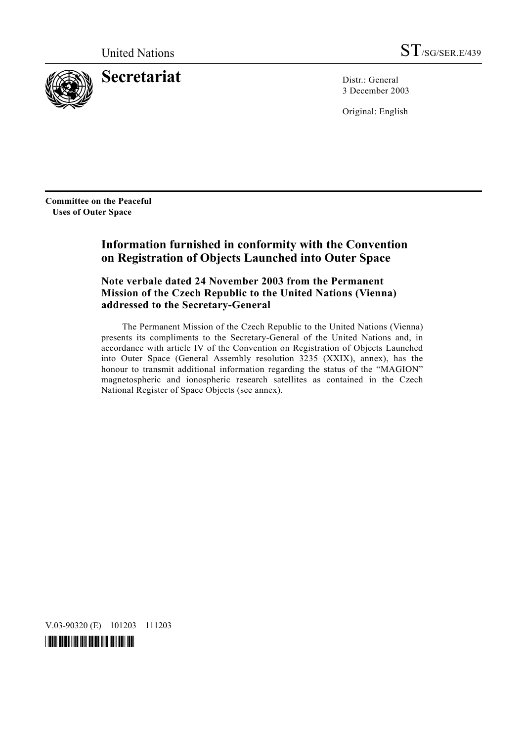

**Secretariat** Distr.: General

3 December 2003

Original: English

**Committee on the Peaceful Uses of Outer Space** 

# **Information furnished in conformity with the Convention on Registration of Objects Launched into Outer Space**

 **Note verbale dated 24 November 2003 from the Permanent Mission of the Czech Republic to the United Nations (Vienna) addressed to the Secretary-General** 

 The Permanent Mission of the Czech Republic to the United Nations (Vienna) presents its compliments to the Secretary-General of the United Nations and, in accordance with article IV of the Convention on Registration of Objects Launched into Outer Space (General Assembly resolution 3235 (XXIX), annex), has the honour to transmit additional information regarding the status of the "MAGION" magnetospheric and ionospheric research satellites as contained in the Czech National Register of Space Objects (see annex).

V.03-90320 (E) 101203 111203